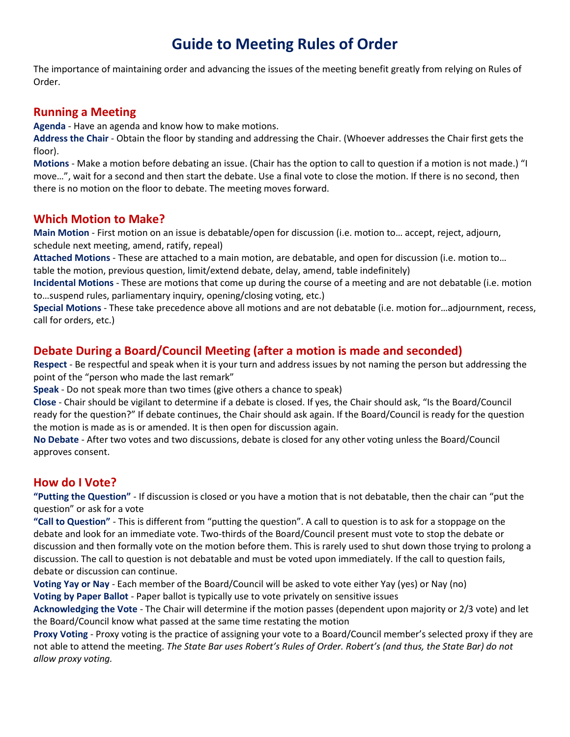# **Guide to Meeting Rules of Order**

The importance of maintaining order and advancing the issues of the meeting benefit greatly from relying on Rules of Order.

#### **Running a Meeting**

**Agenda** - Have an agenda and know how to make motions.

**Address the Chair** - Obtain the floor by standing and addressing the Chair. (Whoever addresses the Chair first gets the floor).

**Motions** - Make a motion before debating an issue. (Chair has the option to call to question if a motion is not made.) "I move…", wait for a second and then start the debate. Use a final vote to close the motion. If there is no second, then there is no motion on the floor to debate. The meeting moves forward.

# **Which Motion to Make?**

**Main Motion** - First motion on an issue is debatable/open for discussion (i.e. motion to… accept, reject, adjourn, schedule next meeting, amend, ratify, repeal)

**Attached Motions** - These are attached to a main motion, are debatable, and open for discussion (i.e. motion to…

table the motion, previous question, limit/extend debate, delay, amend, table indefinitely)

**Incidental Motions** - These are motions that come up during the course of a meeting and are not debatable (i.e. motion to…suspend rules, parliamentary inquiry, opening/closing voting, etc.)

**Special Motions** - These take precedence above all motions and are not debatable (i.e. motion for…adjournment, recess, call for orders, etc.)

# **Debate During a Board/Council Meeting (after a motion is made and seconded)**

**Respect** - Be respectful and speak when it is your turn and address issues by not naming the person but addressing the point of the "person who made the last remark"

**Speak** - Do not speak more than two times (give others a chance to speak)

**Close** - Chair should be vigilant to determine if a debate is closed. If yes, the Chair should ask, "Is the Board/Council ready for the question?" If debate continues, the Chair should ask again. If the Board/Council is ready for the question the motion is made as is or amended. It is then open for discussion again.

**No Debate** - After two votes and two discussions, debate is closed for any other voting unless the Board/Council approves consent.

# **How do I Vote?**

**"Putting the Question"** - If discussion is closed or you have a motion that is not debatable, then the chair can "put the question" or ask for a vote

**"Call to Question"** - This is different from "putting the question". A call to question is to ask for a stoppage on the debate and look for an immediate vote. Two-thirds of the Board/Council present must vote to stop the debate or discussion and then formally vote on the motion before them. This is rarely used to shut down those trying to prolong a discussion. The call to question is not debatable and must be voted upon immediately. If the call to question fails, debate or discussion can continue.

**Voting Yay or Nay** - Each member of the Board/Council will be asked to vote either Yay (yes) or Nay (no) **Voting by Paper Ballot** - Paper ballot is typically use to vote privately on sensitive issues

**Acknowledging the Vote** - The Chair will determine if the motion passes (dependent upon majority or 2/3 vote) and let the Board/Council know what passed at the same time restating the motion

**Proxy Voting** - Proxy voting is the practice of assigning your vote to a Board/Council member's selected proxy if they are not able to attend the meeting. *The State Bar uses Robert's Rules of Order. Robert's (and thus, the State Bar) do not allow proxy voting.*